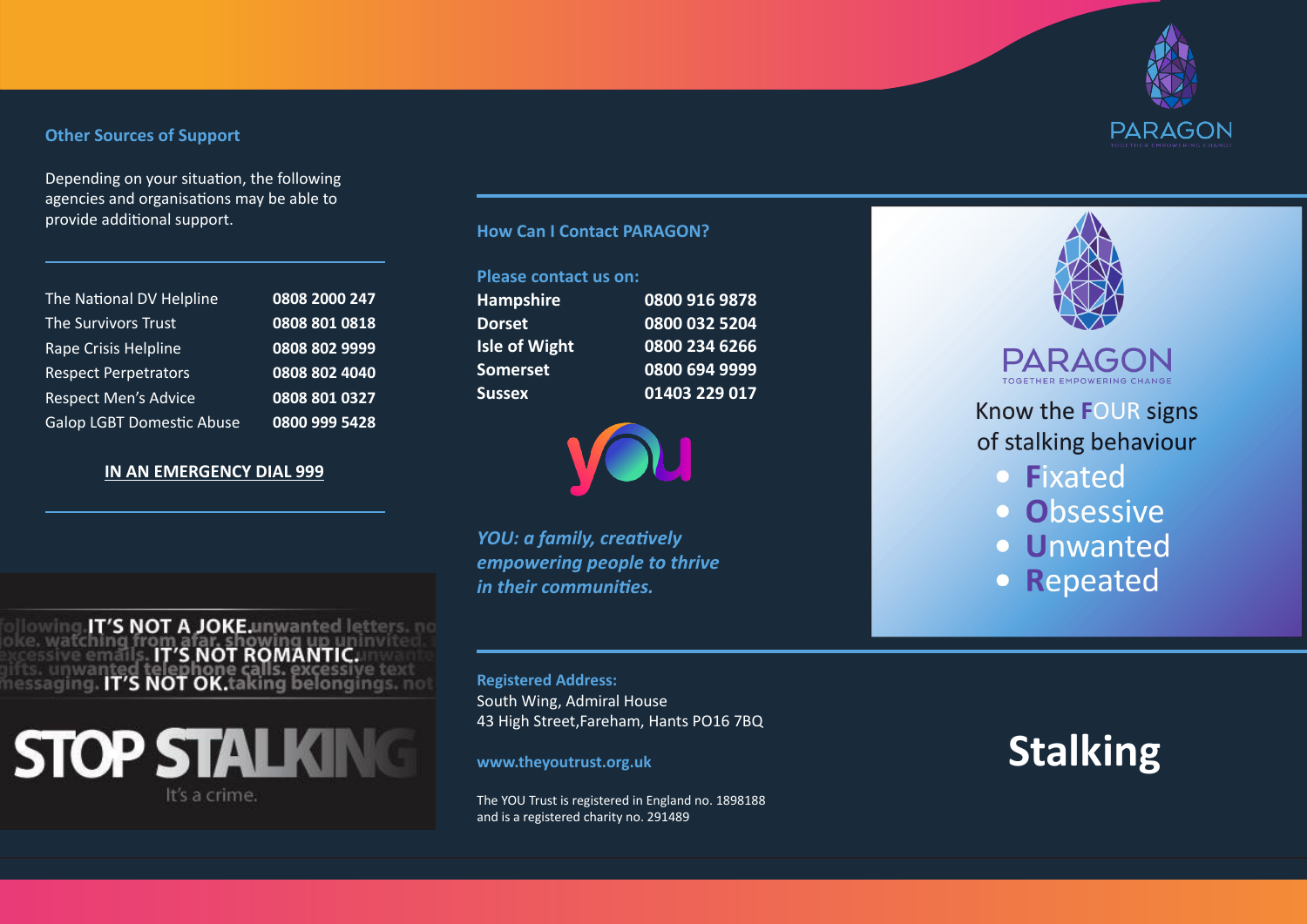### **Other Sources of Support**

Depending on your situation, the following agencies and organisations may be able to provide additional support. **How Can I Contact PARAGON?**

| The National DV Helpline         | 0808 2000 247 |
|----------------------------------|---------------|
| The Survivors Trust              | 0808 801 0818 |
| Rape Crisis Helpline             | 0808 802 9999 |
| <b>Respect Perpetrators</b>      | 0808 802 4040 |
| <b>Respect Men's Advice</b>      | 0808 801 0327 |
| <b>Galop LGBT Domestic Abuse</b> | 0800 999 5428 |

## **IN AN EMERGENCY DIAL 999**

owing.IT'S NOT A JOKE.unwanted letters. no

oke. watching from afar, showing up uninvited<br>https://web.arted.telephone.calls. excessive text<br>nessaging. IT'S NOT OK.taking belongings. not

**STOP STALKING** 

It's a crime.

### **Please contact us on:**

**Hampshire 0800 916 9878 Dorset 0800 032 5204 Isle of Wight 0800 234 6266 Somerset 0800 694 9999 Sussex 01403 229 017**



*YOU: a family, creatively empowering people to thrive in their communities.*

**Registered Address:** South Wing, Admiral House 43 High Street,Fareham, Hants PO16 7BQ

### **www.theyoutrust.org.uk**

The YOU Trust is registered in England no. 1898188 and is a registered charity no. 291489



# **PARAGON**

Know the FOUR signs of stalking behaviour

- Fixated
- · Obsessive
- · Unwanted
- Repeated